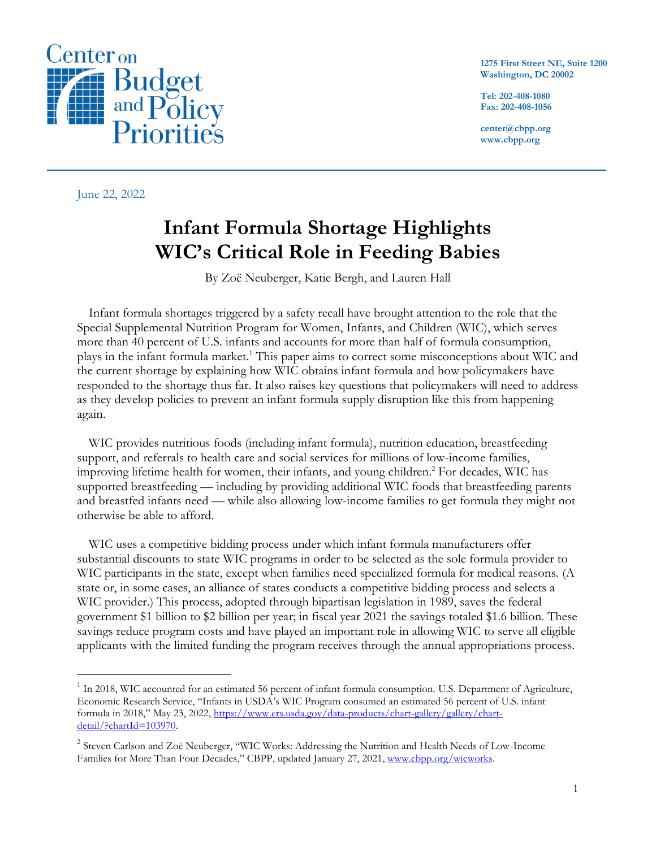

June 22, 2022

**1275 First Street NE, Suite 1200 Washington, DC 20002**

**Tel: 202-408-1080 Fax: 202-408-1056**

**center@cbpp.org www.cbpp.org**

# **Infant Formula Shortage Highlights WIC's Critical Role in Feeding Babies**

By Zoë Neuberger, Katie Bergh, and Lauren Hall

Infant formula shortages triggered by a safety recall have brought attention to the role that the Special Supplemental Nutrition Program for Women, Infants, and Children [\(WIC\)](https://www.cbpp.org/research/food-assistance/special-supplemental-nutrition-program-for-women-infants-and-children), which serves more than 40 percent of U.S. infants and accounts for more than half of formula consumption, plays in the infant formula market.<sup>1</sup> This paper aims to correct some misconceptions about WIC and the current shortage by explaining how WIC obtains infant formula and how policymakers have responded to the shortage thus far. It also raises key questions that policymakers will need to address as they develop policies to prevent an infant formula supply disruption like this from happening again.

WIC provides nutritious foods (including infant formula), nutrition education, breastfeeding support, and referrals to health care and social services for millions of low-income families, improving lifetime health for women, their infants, and young children.<sup>2</sup> For decades, WIC has supported breastfeeding — including by providing additional WIC foods that breastfeeding parents and breastfed infants need — while also allowing low-income families to get formula they might not otherwise be able to afford.

WIC uses a competitive bidding process under which infant formula manufacturers offer substantial discounts to state WIC programs in order to be selected as the sole formula provider to WIC participants in the state, except when families need specialized formula for medical reasons. (A state or, in some cases, an alliance of states conducts a competitive bidding process and selects a WIC provider.) This process, adopted through bipartisan legislation in 1989, saves the federal government \$1 billion to \$2 billion per year; in fiscal year 2021 the savings totaled \$1.6 billion. These savings reduce program costs and have played an important role in allowing WIC to serve all eligible applicants with the limited funding the program receives through the annual appropriations process.

<sup>&</sup>lt;sup>1</sup> In 2018, WIC accounted for an estimated 56 percent of infant formula consumption. U.S. Department of Agriculture, Economic Research Service, "Infants in USDA's WIC Program consumed an estimated 56 percent of U.S. infant formula in 2018," May 23, 2022, [https://www.ers.usda.gov/data-products/chart-gallery/gallery/chart](https://www.ers.usda.gov/data-products/chart-gallery/gallery/chart-detail/?chartId=103970)[detail/?chartId=103970.](https://www.ers.usda.gov/data-products/chart-gallery/gallery/chart-detail/?chartId=103970)

<sup>&</sup>lt;sup>2</sup> Steven Carlson and Zoë Neuberger, "WIC Works: Addressing the Nutrition and Health Needs of Low-Income Families for More Than Four Decades," CBPP, updated January 27, 2021, [www.cbpp.org/wicworks.](http://www.cbpp.org/wicworks)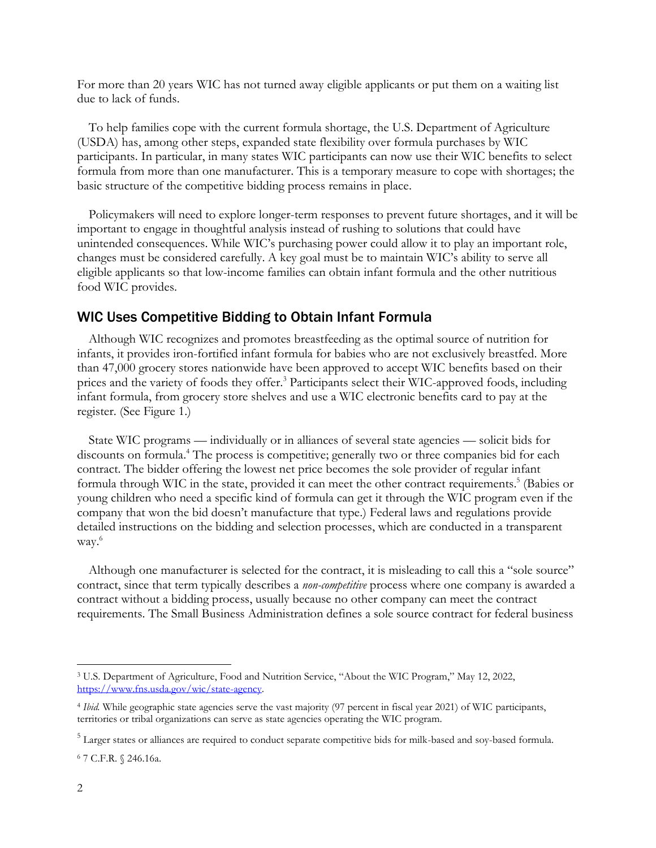For more than 20 years WIC has not turned away eligible applicants or put them on a waiting list due to lack of funds.

To help families cope with the current formula shortage, the U.S. Department of Agriculture (USDA) has, among other steps, expanded state flexibility over formula purchases by WIC participants. In particular, in many states WIC participants can now use their WIC benefits to select formula from more than one manufacturer. This is a temporary measure to cope with shortages; the basic structure of the competitive bidding process remains in place.

Policymakers will need to explore longer-term responses to prevent future shortages, and it will be important to engage in thoughtful analysis instead of rushing to solutions that could have unintended consequences. While WIC's purchasing power could allow it to play an important role, changes must be considered carefully. A key goal must be to maintain WIC's ability to serve all eligible applicants so that low-income families can obtain infant formula and the other nutritious food WIC provides.

#### WIC Uses Competitive Bidding to Obtain Infant Formula

Although WIC recognizes and promotes breastfeeding as the optimal source of nutrition for infants, it provides iron-fortified infant formula for babies who are not exclusively breastfed. More than 47,000 grocery stores nationwide have been approved to accept WIC benefits based on their prices and the variety of foods they offer.<sup>3</sup> Participants select their WIC-approved foods, including infant formula, from grocery store shelves and use a WIC electronic benefits card to pay at the register. (See Figure 1.)

State WIC programs — individually or in alliances of several state agencies — solicit bids for discounts on formula.<sup>4</sup> The process is competitive; generally two or three companies bid for each contract. The bidder offering the lowest net price becomes the sole provider of regular infant formula through WIC in the state, provided it can meet the other contract requirements.<sup>5</sup> (Babies or young children who need a specific kind of formula can get it through the WIC program even if the company that won the bid doesn't manufacture that type.) Federal laws and regulations provide detailed instructions on the bidding and selection processes, which are conducted in a transparent way. 6

Although one manufacturer is selected for the contract, it is misleading to call this a "sole source" contract, since that term typically describes a *non-competitive* process where one company is awarded a contract without a bidding process, usually because no other company can meet the contract requirements. The Small Business Administration defines a sole source contract for federal business

<sup>3</sup> U.S. Department of Agriculture, Food and Nutrition Service, "About the WIC Program," May 12, 2022, [https://www.fns.usda.gov/wic/state-agency.](https://www.fns.usda.gov/wic/state-agency)

<sup>4</sup> *Ibid.* While geographic state agencies serve the vast majority (97 percent in fiscal year 2021) of WIC participants, territories or tribal organizations can serve as state agencies operating the WIC program.

<sup>&</sup>lt;sup>5</sup> Larger states or alliances are required to conduct separate competitive bids for milk-based and soy-based formula.

<sup>6</sup> 7 C.F.R. § 246.16a.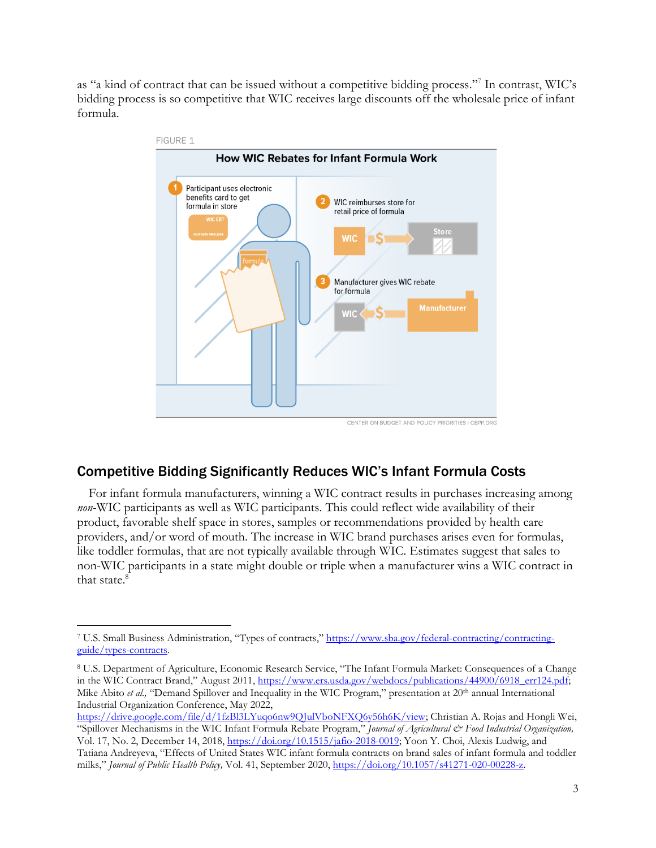as "a kind of contract that can be issued without a competitive bidding process."<sup>7</sup> In contrast, WIC's bidding process is so competitive that WIC receives large discounts off the wholesale price of infant formula.



#### Competitive Bidding Significantly Reduces WIC's Infant Formula Costs

For infant formula manufacturers, winning a WIC contract results in purchases increasing among *non*-WIC participants as well as WIC participants. This could reflect wide availability of their product, favorable shelf space in stores, samples or recommendations provided by health care providers, and/or word of mouth. The increase in WIC brand purchases arises even for formulas, like toddler formulas, that are not typically available through WIC. Estimates suggest that sales to non-WIC participants in a state might double or triple when a manufacturer wins a WIC contract in that state.<sup>8</sup>

<sup>7</sup> U.S. Small Business Administration, "Types of contracts," [https://www.sba.gov/federal-contracting/contracting](https://www.sba.gov/federal-contracting/contracting-guide/types-contracts)[guide/types-contracts.](https://www.sba.gov/federal-contracting/contracting-guide/types-contracts) 

<sup>8</sup> U.S. Department of Agriculture, Economic Research Service, "The Infant Formula Market: Consequences of a Change in the WIC Contract Brand," August 2011, [https://www.ers.usda.gov/webdocs/publications/44900/6918\\_err124.pdf;](https://www.ers.usda.gov/webdocs/publications/44900/6918_err124.pdf) Mike Abito *et al.*, "Demand Spillover and Inequality in the WIC Program," presentation at 20<sup>th</sup> annual International Industrial Organization Conference, May 2022,

[https://drive.google.com/file/d/1fzBl3LYuqo6nw9QJulVboNFXQ6y56h6K/view;](https://drive.google.com/file/d/1fzBl3LYuqo6nw9QJulVboNFXQ6y56h6K/view) Christian A. Rojas and Hongli Wei, "Spillover Mechanisms in the WIC Infant Formula Rebate Program," *Journal of Agricultural & Food Industrial Organization,* Vol. 17, No. 2, December 14, 2018, [https://doi.org/10.1515/jafio-2018-0019;](https://doi.org/10.1515/jafio-2018-0019) Yoon Y. Choi, Alexis Ludwig, and Tatiana Andreyeva, "Effects of United States WIC infant formula contracts on brand sales of infant formula and toddler milks," *Journal of Public Health Policy,* Vol. 41, September 2020, [https://doi.org/10.1057/s41271-020-00228-z.](https://doi.org/10.1057/s41271-020-00228-z)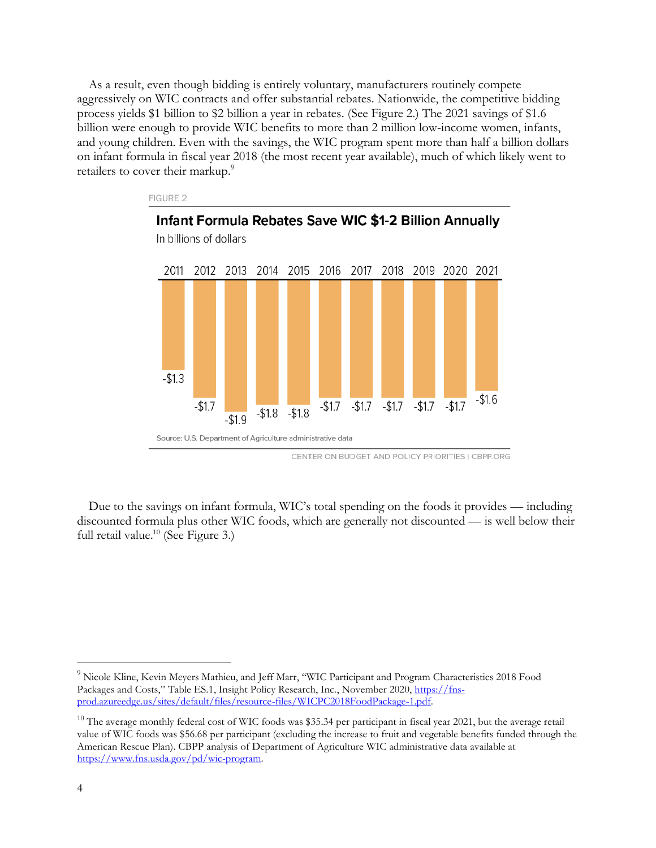As a result, even though bidding is entirely voluntary, manufacturers routinely compete aggressively on WIC contracts and offer substantial rebates. Nationwide, the competitive bidding process yields \$1 billion to \$2 billion a year in rebates. (See Figure 2.) The 2021 savings of \$1.6 billion were enough to provide WIC benefits to more than 2 million low-income women, infants, and young children. Even with the savings, the WIC program spent more than half a billion dollars on infant formula in fiscal year 2018 (the most recent year available), much of which likely went to retailers to cover their markup.<sup>9</sup>



CENTER ON BUDGET AND POLICY PRIORITIES | CBPP.ORG

Due to the savings on infant formula, WIC's total spending on the foods it provides — including discounted formula plus other WIC foods, which are generally not discounted — is well below their full retail value. $10$  (See Figure 3.)

<sup>&</sup>lt;sup>9</sup> Nicole Kline, Kevin Meyers Mathieu, and Jeff Marr, "WIC Participant and Program Characteristics 2018 Food Packages and Costs," Table ES.1, Insight Policy Research, Inc., November 2020, [https://fns](https://fns-prod.azureedge.us/sites/default/files/resource-files/WICPC2018FoodPackage-1.pdf)[prod.azureedge.us/sites/default/files/resource-files/WICPC2018FoodPackage-1.pdf.](https://fns-prod.azureedge.us/sites/default/files/resource-files/WICPC2018FoodPackage-1.pdf)

 $10$  The average monthly federal cost of WIC foods was \$35.34 per participant in fiscal year 2021, but the average retail value of WIC foods was \$56.68 per participant (excluding the increase to fruit and vegetable benefits funded through the American Rescue Plan). CBPP analysis of Department of Agriculture WIC administrative data available at [https://www.fns.usda.gov/pd/wic-program.](https://www.fns.usda.gov/pd/wic-program)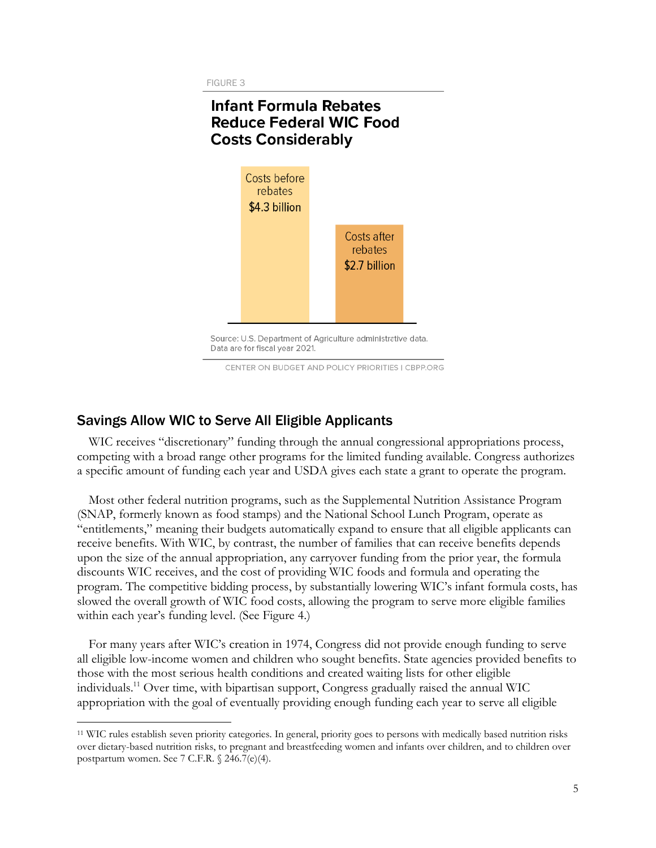FIGURE 3

# **Infant Formula Rebates Reduce Federal WIC Food Costs Considerably**



CENTER ON BUDGET AND POLICY PRIORITIES | CBPP.ORG

#### Savings Allow WIC to Serve All Eligible Applicants

WIC receives "discretionary" funding through the annual congressional appropriations process, competing with a broad range other programs for the limited funding available. Congress authorizes a specific amount of funding each year and USDA gives each state a grant to operate the program.

Most other federal nutrition programs, such as the Supplemental Nutrition Assistance Program (SNAP, formerly known as food stamps) and the National School Lunch Program, operate as "entitlements," meaning their budgets automatically expand to ensure that all eligible applicants can receive benefits. With WIC, by contrast, the number of families that can receive benefits depends upon the size of the annual appropriation, any carryover funding from the prior year, the formula discounts WIC receives, and the cost of providing WIC foods and formula and operating the program. The competitive bidding process, by substantially lowering WIC's infant formula costs, has slowed the overall growth of WIC food costs, allowing the program to serve more eligible families within each year's funding level. (See Figure 4.)

For many years after WIC's creation in 1974, Congress did not provide enough funding to serve all eligible low-income women and children who sought benefits. State agencies provided benefits to those with the most serious health conditions and created waiting lists for other eligible individuals.<sup>11</sup> Over time, with bipartisan support, Congress gradually raised the annual WIC appropriation with the goal of eventually providing enough funding each year to serve all eligible

<sup>11</sup> WIC rules establish seven priority categories. In general, priority goes to persons with medically based nutrition risks over dietary-based nutrition risks, to pregnant and breastfeeding women and infants over children, and to children over postpartum women. See 7 C.F.R. § 246.7(e)(4).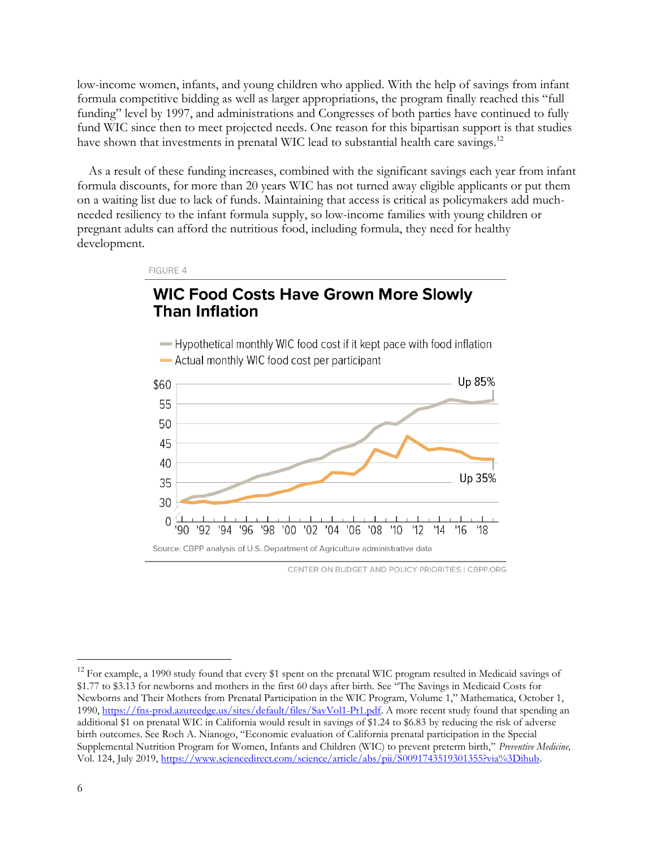low-income women, infants, and young children who applied. With the help of savings from infant formula competitive bidding as well as larger appropriations, the program finally reached this "full funding" level by 1997, and administrations and Congresses of both parties have continued to fully fund WIC since then to meet projected needs. One reason for this bipartisan support is that studies have shown that investments in prenatal WIC lead to substantial health care savings.<sup>12</sup>

As a result of these funding increases, combined with the significant savings each year from infant formula discounts, for more than 20 years WIC has not turned away eligible applicants or put them on a waiting list due to lack of funds. Maintaining that access is critical as policymakers add muchneeded resiliency to the infant formula supply, so low-income families with young children or pregnant adults can afford the nutritious food, including formula, they need for healthy development.

#### FIGURE 4

# **WIC Food Costs Have Grown More Slowly Than Inflation**



-Hypothetical monthly WIC food cost if it kept pace with food inflation - Actual monthly WIC food cost per participant

CENTER ON BUDGET AND POLICY PRIORITIES I CBPP.ORG

<sup>&</sup>lt;sup>12</sup> For example, a 1990 study found that every \$1 spent on the prenatal WIC program resulted in Medicaid savings of \$1.77 to \$3.13 for newborns and mothers in the first 60 days after birth. See "The Savings in Medicaid Costs for Newborns and Their Mothers from Prenatal Participation in the WIC Program, Volume 1," Mathematica, October 1, 1990, [https://fns-prod.azureedge.us/sites/default/files/SavVol1-Pt1.pdf.](https://fns-prod.azureedge.us/sites/default/files/SavVol1-Pt1.pdf) A more recent study found that spending an additional \$1 on prenatal WIC in California would result in savings of \$1.24 to \$6.83 by reducing the risk of adverse birth outcomes. See Roch A. Nianogo, "Economic evaluation of California prenatal participation in the Special Supplemental Nutrition Program for Women, Infants and Children (WIC) to prevent preterm birth," *Preventive Medicine,* Vol. 124, July 2019, [https://www.sciencedirect.com/science/article/abs/pii/S0091743519301355?via%3Dihub.](https://www.sciencedirect.com/science/article/abs/pii/S0091743519301355?via%3Dihub)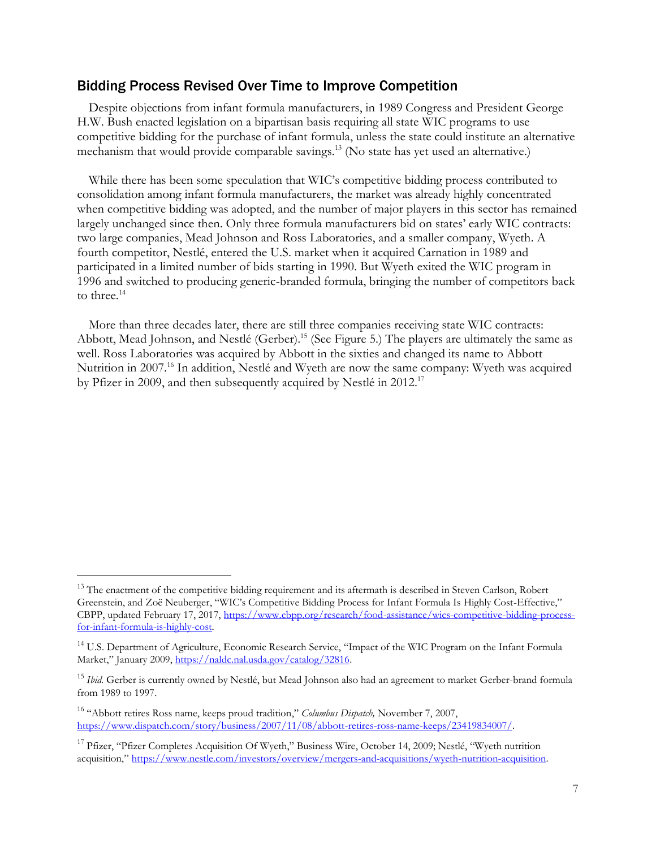#### Bidding Process Revised Over Time to Improve Competition

Despite objections from infant formula manufacturers, in 1989 Congress and President George H.W. Bush enacted legislation on a bipartisan basis requiring all state WIC programs to use competitive bidding for the purchase of infant formula, unless the state could institute an alternative mechanism that would provide comparable savings.<sup>13</sup> (No state has yet used an alternative.)

While there has been some speculation that WIC's competitive bidding process contributed to consolidation among infant formula manufacturers, the market was already highly concentrated when competitive bidding was adopted, and the number of major players in this sector has remained largely unchanged since then. Only three formula manufacturers bid on states' early WIC contracts: two large companies, Mead Johnson and Ross Laboratories, and a smaller company, Wyeth. A fourth competitor, Nestlé, entered the U.S. market when it acquired Carnation in 1989 and participated in a limited number of bids starting in 1990. But Wyeth exited the WIC program in 1996 and switched to producing generic-branded formula, bringing the number of competitors back to three.<sup>14</sup>

More than three decades later, there are still three companies receiving state WIC contracts: Abbott, Mead Johnson, and Nestlé (Gerber).<sup>15</sup> (See Figure 5.) The players are ultimately the same as well. Ross Laboratories was acquired by Abbott in the sixties and changed its name to Abbott Nutrition in 2007.<sup>16</sup> In addition, Nestlé and Wyeth are now the same company: Wyeth was acquired by Pfizer in 2009, and then subsequently acquired by Nestlé in 2012.<sup>17</sup>

<sup>&</sup>lt;sup>13</sup> The enactment of the competitive bidding requirement and its aftermath is described in Steven Carlson, Robert Greenstein, and Zoë Neuberger, "WIC's Competitive Bidding Process for Infant Formula Is Highly Cost-Effective," CBPP, updated February 17, 2017, [https://www.cbpp.org/research/food-assistance/wics-competitive-bidding-process](https://www.cbpp.org/research/food-assistance/wics-competitive-bidding-process-for-infant-formula-is-highly-cost)[for-infant-formula-is-highly-cost.](https://www.cbpp.org/research/food-assistance/wics-competitive-bidding-process-for-infant-formula-is-highly-cost)

<sup>&</sup>lt;sup>14</sup> U.S. Department of Agriculture, Economic Research Service, "Impact of the WIC Program on the Infant Formula Market," January 2009, https://naldc.nal.usda.gov/catalog/32816.

<sup>&</sup>lt;sup>15</sup> *Ibid.* Gerber is currently owned by Nestlé, but Mead Johnson also had an agreement to market Gerber-brand formula from 1989 to 1997.

<sup>16</sup> "Abbott retires Ross name, keeps proud tradition," *Columbus Dispatch,* November 7, 2007, [https://www.dispatch.com/story/business/2007/11/08/abbott-retires-ross-name-keeps/23419834007/.](https://www.dispatch.com/story/business/2007/11/08/abbott-retires-ross-name-keeps/23419834007/)

<sup>&</sup>lt;sup>17</sup> Pfizer, "Pfizer Completes Acquisition Of Wyeth," Business Wire, October 14, 2009; Nestlé, "Wyeth nutrition acquisition," [https://www.nestle.com/investors/overview/mergers-and-acquisitions/wyeth-nutrition-acquisition.](https://www.nestle.com/investors/overview/mergers-and-acquisitions/wyeth-nutrition-acquisition)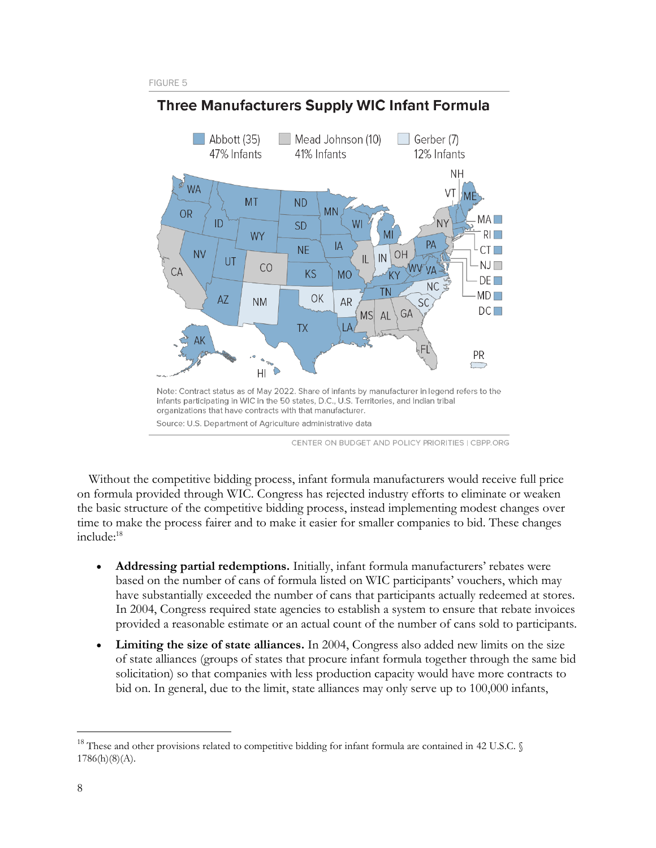

# **Three Manufacturers Supply WIC Infant Formula**

CENTER ON BUDGET AND POLICY PRIORITIES | CBPP.ORG

Without the competitive bidding process, infant formula manufacturers would receive full price on formula provided through WIC. Congress has rejected industry efforts to eliminate or weaken the basic structure of the competitive bidding process, instead implementing modest changes over time to make the process fairer and to make it easier for smaller companies to bid. These changes include:<sup>18</sup>

- **Addressing partial redemptions.** Initially, infant formula manufacturers' rebates were based on the number of cans of formula listed on WIC participants' vouchers, which may have substantially exceeded the number of cans that participants actually redeemed at stores. In 2004, Congress required state agencies to establish a system to ensure that rebate invoices provided a reasonable estimate or an actual count of the number of cans sold to participants.
- **Limiting the size of state alliances.** In 2004, Congress also added new limits on the size of state alliances (groups of states that procure infant formula together through the same bid solicitation) so that companies with less production capacity would have more contracts to bid on. In general, due to the limit, state alliances may only serve up to 100,000 infants,

<sup>&</sup>lt;sup>18</sup> These and other provisions related to competitive bidding for infant formula are contained in 42 U.S.C.  $\oint$ 1786(h)(8)(A).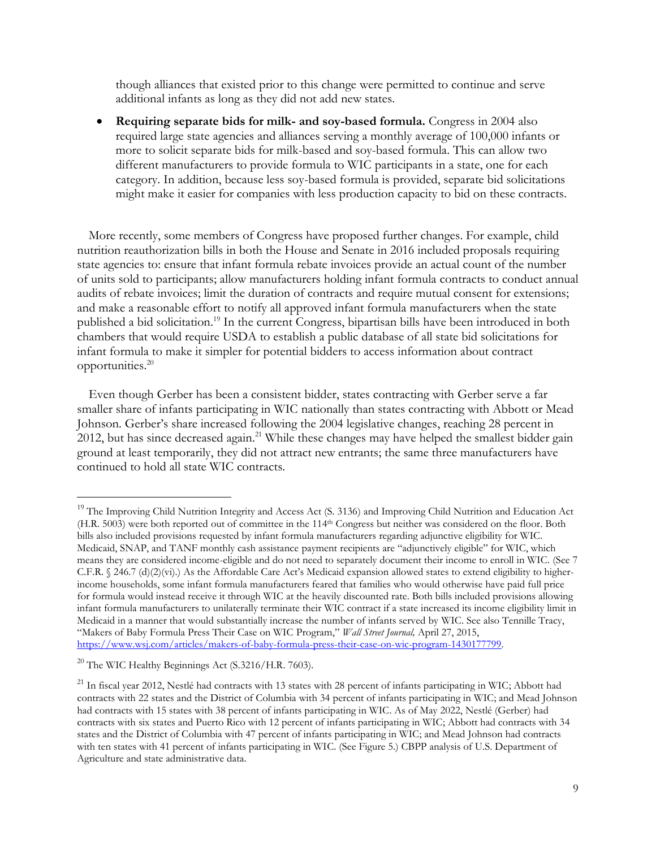though alliances that existed prior to this change were permitted to continue and serve additional infants as long as they did not add new states.

• **Requiring separate bids for milk- and soy-based formula.** Congress in 2004 also required large state agencies and alliances serving a monthly average of 100,000 infants or more to solicit separate bids for milk-based and soy-based formula. This can allow two different manufacturers to provide formula to WIC participants in a state, one for each category. In addition, because less soy-based formula is provided, separate bid solicitations might make it easier for companies with less production capacity to bid on these contracts.

More recently, some members of Congress have proposed further changes. For example, child nutrition reauthorization bills in both the House and Senate in 2016 included proposals requiring state agencies to: ensure that infant formula rebate invoices provide an actual count of the number of units sold to participants; allow manufacturers holding infant formula contracts to conduct annual audits of rebate invoices; limit the duration of contracts and require mutual consent for extensions; and make a reasonable effort to notify all approved infant formula manufacturers when the state published a bid solicitation. <sup>19</sup> In the current Congress, bipartisan bills have been introduced in both chambers that would require USDA to establish a public database of all state bid solicitations for infant formula to make it simpler for potential bidders to access information about contract opportunities. 20

Even though Gerber has been a consistent bidder, states contracting with Gerber serve a far smaller share of infants participating in WIC nationally than states contracting with Abbott or Mead Johnson. Gerber's share increased following the 2004 legislative changes, reaching 28 percent in 2012, but has since decreased again.<sup>21</sup> While these changes may have helped the smallest bidder gain ground at least temporarily, they did not attract new entrants; the same three manufacturers have continued to hold all state WIC contracts.

<sup>&</sup>lt;sup>19</sup> The Improving Child Nutrition Integrity and Access Act (S. 3136) and Improving Child Nutrition and Education Act (H.R. 5003) were both reported out of committee in the 114th Congress but neither was considered on the floor. Both bills also included provisions requested by infant formula manufacturers regarding adjunctive eligibility for WIC. Medicaid, SNAP, and TANF monthly cash assistance payment recipients are "adjunctively eligible" for WIC, which means they are considered income-eligible and do not need to separately document their income to enroll in WIC. (See 7 C.F.R.  $\oint$  246.7 (d)(2)(vi).) As the Affordable Care Act's Medicaid expansion allowed states to extend eligibility to higherincome households, some infant formula manufacturers feared that families who would otherwise have paid full price for formula would instead receive it through WIC at the heavily discounted rate. Both bills included provisions allowing infant formula manufacturers to unilaterally terminate their WIC contract if a state increased its income eligibility limit in Medicaid in a manner that would substantially increase the number of infants served by WIC. See also Tennille Tracy, "Makers of Baby Formula Press Their Case on WIC Program," *Wall Street Journal,* April 27, 2015, [https://www.wsj.com/articles/makers-of-baby-formula-press-their-case-on-wic-program-1430177799.](https://www.wsj.com/articles/makers-of-baby-formula-press-their-case-on-wic-program-1430177799)

<sup>20</sup> The WIC Healthy Beginnings Act (S.3216/H.R. 7603).

<sup>&</sup>lt;sup>21</sup> In fiscal year 2012, Nestlé had contracts with 13 states with 28 percent of infants participating in WIC; Abbott had contracts with 22 states and the District of Columbia with 34 percent of infants participating in WIC; and Mead Johnson had contracts with 15 states with 38 percent of infants participating in WIC. As of May 2022, Nestlé (Gerber) had contracts with six states and Puerto Rico with 12 percent of infants participating in WIC; Abbott had contracts with 34 states and the District of Columbia with 47 percent of infants participating in WIC; and Mead Johnson had contracts with ten states with 41 percent of infants participating in WIC. (See Figure 5.) CBPP analysis of U.S. Department of Agriculture and state administrative data.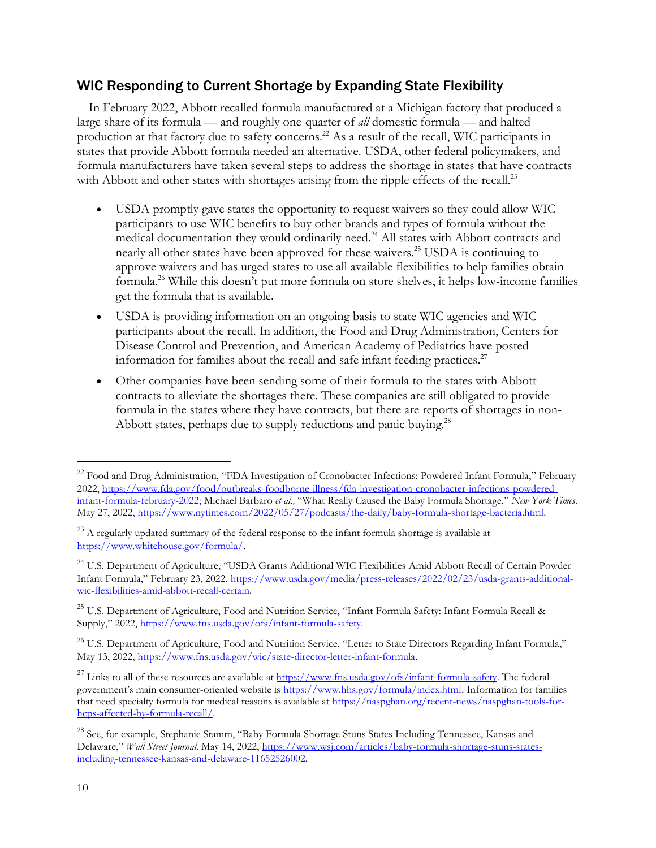## WIC Responding to Current Shortage by Expanding State Flexibility

In February 2022, Abbott recalled formula manufactured at a Michigan factory that produced a large share of its formula — and roughly one-quarter of *all* domestic formula — and halted production at that factory due to safety concerns. <sup>22</sup> As a result of the recall, WIC participants in states that provide Abbott formula needed an alternative. USDA, other federal policymakers, and formula manufacturers have taken several steps to address the shortage in states that have contracts with Abbott and other states with shortages arising from the ripple effects of the recall.<sup>23</sup>

- USDA promptly gave states the opportunity to request waivers so they could allow WIC participants to use WIC benefits to buy other brands and types of formula without the medical documentation they would ordinarily need.<sup>24</sup> All states with Abbott contracts and nearly all other states have been approved for these waivers. <sup>25</sup> USDA is continuing to approve waivers and has urged states to use all available flexibilities to help families obtain formula. <sup>26</sup> While this doesn't put more formula on store shelves, it helps low-income families get the formula that is available.
- USDA is providing information on an ongoing basis to state WIC agencies and WIC participants about the recall. In addition, the Food and Drug Administration, Centers for Disease Control and Prevention, and American Academy of Pediatrics have posted information for families about the recall and safe infant feeding practices.<sup>27</sup>
- Other companies have been sending some of their formula to the states with Abbott contracts to alleviate the shortages there. These companies are still obligated to provide formula in the states where they have contracts, but there are reports of shortages in non-Abbott states, perhaps due to supply reductions and panic buying.<sup>28</sup>

<sup>24</sup> U.S. Department of Agriculture, "USDA Grants Additional WIC Flexibilities Amid Abbott Recall of Certain Powder Infant Formula," February 23, 2022, [https://www.usda.gov/media/press-releases/2022/02/23/usda-grants-additional](https://www.usda.gov/media/press-releases/2022/02/23/usda-grants-additional-wic-flexibilities-amid-abbott-recall-certain)[wic-flexibilities-amid-abbott-recall-certain.](https://www.usda.gov/media/press-releases/2022/02/23/usda-grants-additional-wic-flexibilities-amid-abbott-recall-certain)

<sup>&</sup>lt;sup>22</sup> Food and Drug Administration, "FDA Investigation of Cronobacter Infections: Powdered Infant Formula," February 2022, [https://www.fda.gov/food/outbreaks-foodborne-illness/fda-investigation-cronobacter-infections-powdered](https://www.fda.gov/food/outbreaks-foodborne-illness/fda-investigation-cronobacter-infections-powdered-infant-formula-february-2022)[infant-formula-february-2022;](https://www.fda.gov/food/outbreaks-foodborne-illness/fda-investigation-cronobacter-infections-powdered-infant-formula-february-2022) Michael Barbaro *et al.,* "What Really Caused the Baby Formula Shortage," *New York Times,* May 27, 2022, [https://www.nytimes.com/2022/05/27/podcasts/the-daily/baby-formula-shortage-bacteria.html.](https://www.nytimes.com/2022/05/27/podcasts/the-daily/baby-formula-shortage-bacteria.html) 

<sup>&</sup>lt;sup>23</sup> A regularly updated summary of the federal response to the infant formula shortage is available at [https://www.whitehouse.gov/formula/.](https://www.whitehouse.gov/formula/)

<sup>&</sup>lt;sup>25</sup> U.S. Department of Agriculture, Food and Nutrition Service, "Infant Formula Safety: Infant Formula Recall & Supply," 2022, [https://www.fns.usda.gov/ofs/infant-formula-safety.](https://www.fns.usda.gov/ofs/infant-formula-safety)

<sup>&</sup>lt;sup>26</sup> U.S. Department of Agriculture, Food and Nutrition Service, "Letter to State Directors Regarding Infant Formula," May 13, 2022, [https://www.fns.usda.gov/wic/state-director-letter-infant-formula.](https://www.fns.usda.gov/wic/state-director-letter-infant-formula)

<sup>&</sup>lt;sup>27</sup> Links to all of these resources are available at [https://www.fns.usda.gov/ofs/infant-formula-safety.](https://www.fns.usda.gov/ofs/infant-formula-safety) The federal government's main consumer-oriented website is [https://www.hhs.gov/formula/index.html.](https://www.hhs.gov/formula/index.html) Information for families that need specialty formula for medical reasons is available at [https://naspghan.org/recent-news/naspghan-tools-for](https://naspghan.org/recent-news/naspghan-tools-for-hcps-affected-by-formula-recall/)[hcps-affected-by-formula-recall/.](https://naspghan.org/recent-news/naspghan-tools-for-hcps-affected-by-formula-recall/) 

<sup>&</sup>lt;sup>28</sup> See, for example, Stephanie Stamm, "Baby Formula Shortage Stuns States Including Tennessee, Kansas and Delaware," *Wall Street Journal,* May 14, 2022[, https://www.wsj.com/articles/baby-formula-shortage-stuns-states](https://www.wsj.com/articles/baby-formula-shortage-stuns-states-including-tennessee-kansas-and-delaware-11652526002)[including-tennessee-kansas-and-delaware-11652526002.](https://www.wsj.com/articles/baby-formula-shortage-stuns-states-including-tennessee-kansas-and-delaware-11652526002)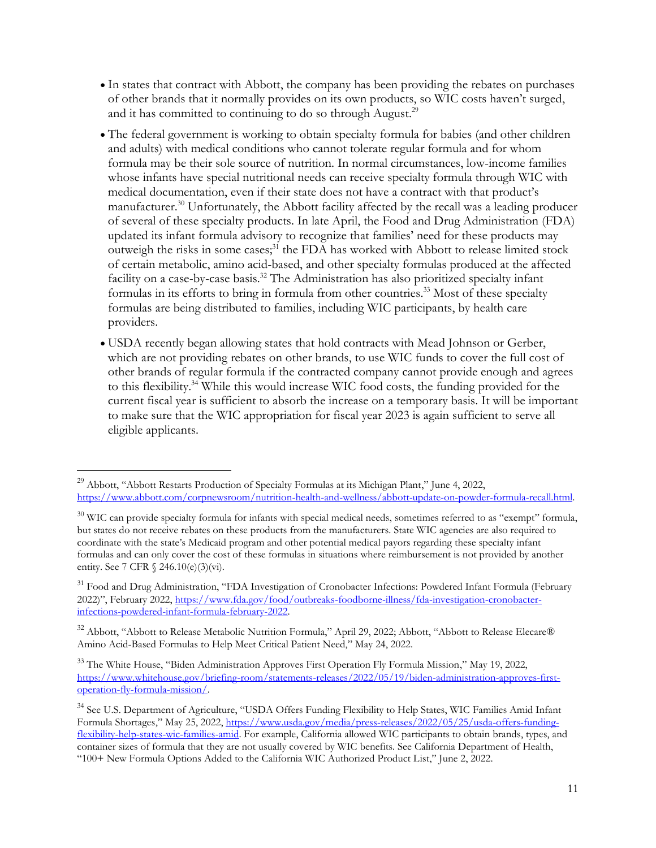- In states that contract with Abbott, the company has been providing the rebates on purchases of other brands that it normally provides on its own products, so WIC costs haven't surged, and it has committed to continuing to do so through August.<sup>29</sup>
- The federal government is working to obtain specialty formula for babies (and other children and adults) with medical conditions who cannot tolerate regular formula and for whom formula may be their sole source of nutrition. In normal circumstances, low-income families whose infants have special nutritional needs can receive specialty formula through WIC with medical documentation, even if their state does not have a contract with that product's manufacturer.<sup>30</sup> Unfortunately, the Abbott facility affected by the recall was a leading producer of several of these specialty products. In late April, the Food and Drug Administration (FDA) updated its infant formula advisory to recognize that families' need for these products may outweigh the risks in some cases;<sup>31</sup> the FDA has worked with Abbott to release limited stock of certain metabolic, amino acid-based, and other specialty formulas produced at the affected facility on a case-by-case basis.<sup>32</sup> The Administration has also prioritized specialty infant formulas in its efforts to bring in formula from other countries.<sup>33</sup> Most of these specialty formulas are being distributed to families, including WIC participants, by health care providers.
- USDA recently began allowing states that hold contracts with Mead Johnson or Gerber, which are not providing rebates on other brands, to use WIC funds to cover the full cost of other brands of regular formula if the contracted company cannot provide enough and agrees to this flexibility.<sup>34</sup> While this would increase WIC food costs, the funding provided for the current fiscal year is sufficient to absorb the increase on a temporary basis. It will be important to make sure that the WIC appropriation for fiscal year 2023 is again sufficient to serve all eligible applicants.

<sup>&</sup>lt;sup>29</sup> Abbott, "Abbott Restarts Production of Specialty Formulas at its Michigan Plant," June 4, 2022, [https://www.abbott.com/corpnewsroom/nutrition-health-and-wellness/abbott-update-on-powder-formula-recall.html.](https://www.abbott.com/corpnewsroom/nutrition-health-and-wellness/abbott-update-on-powder-formula-recall.html)

 $30\,\text{WIC}$  can provide specialty formula for infants with special medical needs, sometimes referred to as "exempt" formula, but states do not receive rebates on these products from the manufacturers. State WIC agencies are also required to coordinate with the state's Medicaid program and other potential medical payors regarding these specialty infant formulas and can only cover the cost of these formulas in situations where reimbursement is not provided by another entity. See 7 CFR § 246.10(e)(3)(vi).

<sup>&</sup>lt;sup>31</sup> Food and Drug Administration, "FDA Investigation of Cronobacter Infections: Powdered Infant Formula (February 2022)", February 2022, [https://www.fda.gov/food/outbreaks-foodborne-illness/fda-investigation-cronobacter](https://www.fda.gov/food/outbreaks-foodborne-illness/fda-investigation-cronobacter-infections-powdered-infant-formula-february-2022)[infections-powdered-infant-formula-february-2022.](https://www.fda.gov/food/outbreaks-foodborne-illness/fda-investigation-cronobacter-infections-powdered-infant-formula-february-2022)

<sup>&</sup>lt;sup>32</sup> Abbott, "Abbott to Release Metabolic Nutrition Formula," April 29, 2022; Abbott, "Abbott to Release Elecare® Amino Acid-Based Formulas to Help Meet Critical Patient Need," May 24, 2022.

<sup>&</sup>lt;sup>33</sup> The White House, "Biden Administration Approves First Operation Fly Formula Mission," May 19, 2022, [https://www.whitehouse.gov/briefing-room/statements-releases/2022/05/19/biden-administration-approves-first](https://www.whitehouse.gov/briefing-room/statements-releases/2022/05/19/biden-administration-approves-first-operation-fly-formula-mission/)[operation-fly-formula-mission/.](https://www.whitehouse.gov/briefing-room/statements-releases/2022/05/19/biden-administration-approves-first-operation-fly-formula-mission/)

<sup>&</sup>lt;sup>34</sup> See U.S. Department of Agriculture, "USDA Offers Funding Flexibility to Help States, WIC Families Amid Infant Formula Shortages," May 25, 2022, [https://www.usda.gov/media/press-releases/2022/05/25/usda-offers-funding](https://www.usda.gov/media/press-releases/2022/05/25/usda-offers-funding-flexibility-help-states-wic-families-amid)[flexibility-help-states-wic-families-amid.](https://www.usda.gov/media/press-releases/2022/05/25/usda-offers-funding-flexibility-help-states-wic-families-amid) For example, California allowed WIC participants to obtain brands, types, and container sizes of formula that they are not usually covered by WIC benefits. See California Department of Health, "100+ New Formula Options Added to the California WIC Authorized Product List," June 2, 2022.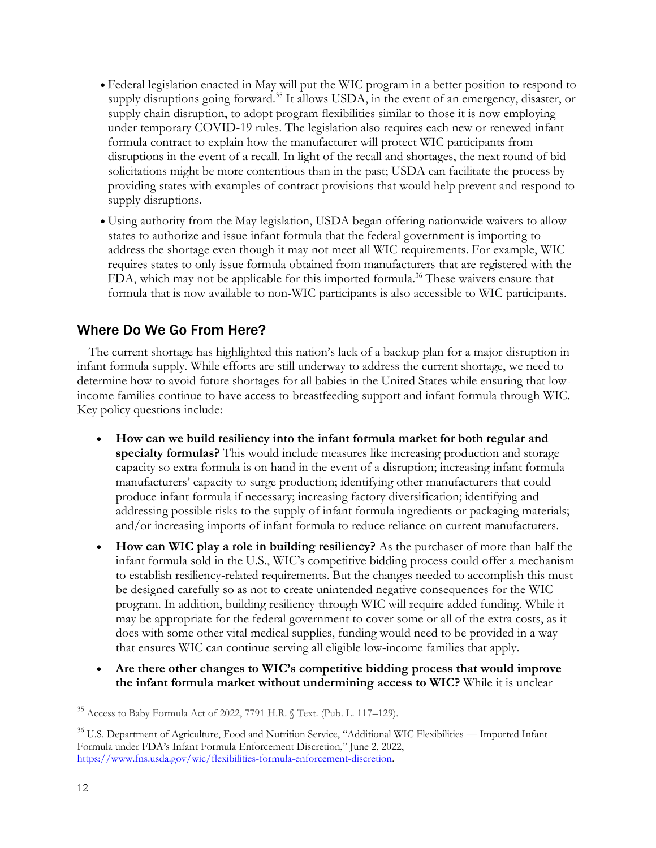- Federal legislation enacted in May will put the WIC program in a better position to respond to supply disruptions going forward.<sup>35</sup> It allows USDA, in the event of an emergency, disaster, or supply chain disruption, to adopt program flexibilities similar to those it is now employing under temporary COVID-19 rules. The legislation also requires each new or renewed infant formula contract to explain how the manufacturer will protect WIC participants from disruptions in the event of a recall. In light of the recall and shortages, the next round of bid solicitations might be more contentious than in the past; USDA can facilitate the process by providing states with examples of contract provisions that would help prevent and respond to supply disruptions.
- Using authority from the May legislation, USDA began offering nationwide waivers to allow states to authorize and issue infant formula that the federal government is importing to address the shortage even though it may not meet all WIC requirements. For example, WIC requires states to only issue formula obtained from manufacturers that are registered with the FDA, which may not be applicable for this imported formula.<sup>36</sup> These waivers ensure that formula that is now available to non-WIC participants is also accessible to WIC participants.

## Where Do We Go From Here?

The current shortage has highlighted this nation's lack of a backup plan for a major disruption in infant formula supply. While efforts are still underway to address the current shortage, we need to determine how to avoid future shortages for all babies in the United States while ensuring that lowincome families continue to have access to breastfeeding support and infant formula through WIC. Key policy questions include:

- **How can we build resiliency into the infant formula market for both regular and specialty formulas?** This would include measures like increasing production and storage capacity so extra formula is on hand in the event of a disruption; increasing infant formula manufacturers' capacity to surge production; identifying other manufacturers that could produce infant formula if necessary; increasing factory diversification; identifying and addressing possible risks to the supply of infant formula ingredients or packaging materials; and/or increasing imports of infant formula to reduce reliance on current manufacturers.
- **How can WIC play a role in building resiliency?** As the purchaser of more than half the infant formula sold in the U.S., WIC's competitive bidding process could offer a mechanism to establish resiliency-related requirements. But the changes needed to accomplish this must be designed carefully so as not to create unintended negative consequences for the WIC program. In addition, building resiliency through WIC will require added funding. While it may be appropriate for the federal government to cover some or all of the extra costs, as it does with some other vital medical supplies, funding would need to be provided in a way that ensures WIC can continue serving all eligible low-income families that apply.
- **Are there other changes to WIC's competitive bidding process that would improve the infant formula market without undermining access to WIC?** While it is unclear

<sup>35</sup> Access to Baby Formula Act of 2022, 7791 H.R. § Text. (Pub. L. 117–129).

<sup>&</sup>lt;sup>36</sup> U.S. Department of Agriculture, Food and Nutrition Service, "Additional WIC Flexibilities — Imported Infant Formula under FDA's Infant Formula Enforcement Discretion," June 2, 2022, [https://www.fns.usda.gov/wic/flexibilities-formula-enforcement-discretion.](https://www.fns.usda.gov/wic/flexibilities-formula-enforcement-discretion)